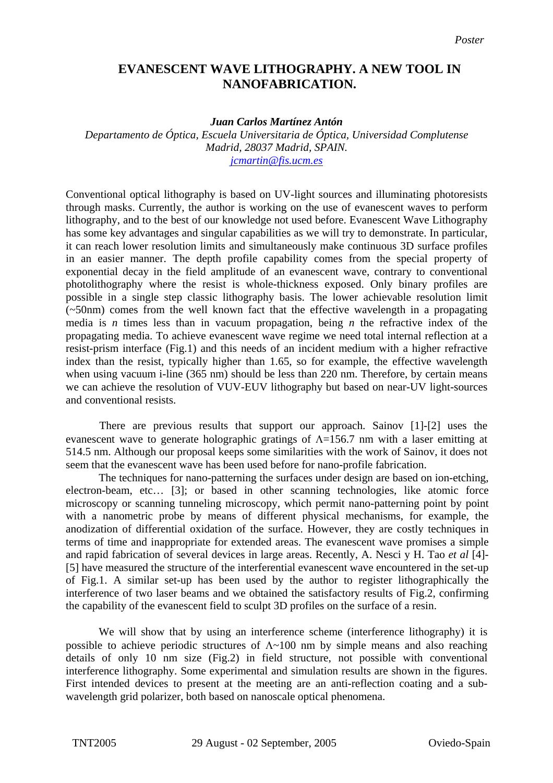## **EVANESCENT WAVE LITHOGRAPHY. A NEW TOOL IN NANOFABRICATION.**

## *Juan Carlos Martínez Antón*

*Departamento de Óptica, Escuela Universitaria de Óptica, Universidad Complutense Madrid, 28037 Madrid, SPAIN. [jcmartin@fis.ucm.es](mailto:jcmartin@fis.ucm.es)*

Conventional optical lithography is based on UV-light sources and illuminating photoresists through masks. Currently, the author is working on the use of evanescent waves to perform lithography, and to the best of our knowledge not used before. Evanescent Wave Lithography has some key advantages and singular capabilities as we will try to demonstrate. In particular, it can reach lower resolution limits and simultaneously make continuous 3D surface profiles in an easier manner. The depth profile capability comes from the special property of exponential decay in the field amplitude of an evanescent wave, contrary to conventional photolithography where the resist is whole-thickness exposed. Only binary profiles are possible in a single step classic lithography basis. The lower achievable resolution limit (~50nm) comes from the well known fact that the effective wavelength in a propagating media is *n* times less than in vacuum propagation, being *n* the refractive index of the propagating media. To achieve evanescent wave regime we need total internal reflection at a resist-prism interface (Fig.1) and this needs of an incident medium with a higher refractive index than the resist, typically higher than 1.65, so for example, the effective wavelength when using vacuum i-line (365 nm) should be less than 220 nm. Therefore, by certain means we can achieve the resolution of VUV-EUV lithography but based on near-UV light-sources and conventional resists.

There are previous results that support our approach. Sainov [\[1\]-](#page-1-0)[\[2\]](#page-1-1) uses the evanescent wave to generate holographic gratings of  $\Lambda$ =156.7 nm with a laser emitting at 514.5 nm. Although our proposal keeps some similarities with the work of Sainov, it does not seem that the evanescent wave has been used before for nano-profile fabrication.

The techniques for nano-patterning the surfaces under design are based on ion-etching, electron-beam, etc… [\[3\];](#page-1-2) or based in other scanning technologies, like atomic force microscopy or scanning tunneling microscopy, which permit nano-patterning point by point with a nanometric probe by means of different physical mechanisms, for example, the anodization of differential oxidation of the surface. However, they are costly techniques in terms of time and inappropriate for extended areas. The evanescent wave promises a simple and rapid fabrication of several devices in large areas. Recently, A. Nesci y H. Tao *et al* [\[4\]-](#page-1-3) [\[5\]](#page-1-4) have measured the structure of the interferential evanescent wave encountered in the set-up of Fig.1. A similar set-up has been used by the author to register lithographically the interference of two laser beams and we obtained the satisfactory results of Fig.2, confirming the capability of the evanescent field to sculpt 3D profiles on the surface of a resin.

We will show that by using an interference scheme (interference lithography) it is possible to achieve periodic structures of  $\Lambda \sim 100$  nm by simple means and also reaching details of only 10 nm size (Fig.2) in field structure, not possible with conventional interference lithography. Some experimental and simulation results are shown in the figures. First intended devices to present at the meeting are an anti-reflection coating and a subwavelength grid polarizer, both based on nanoscale optical phenomena.